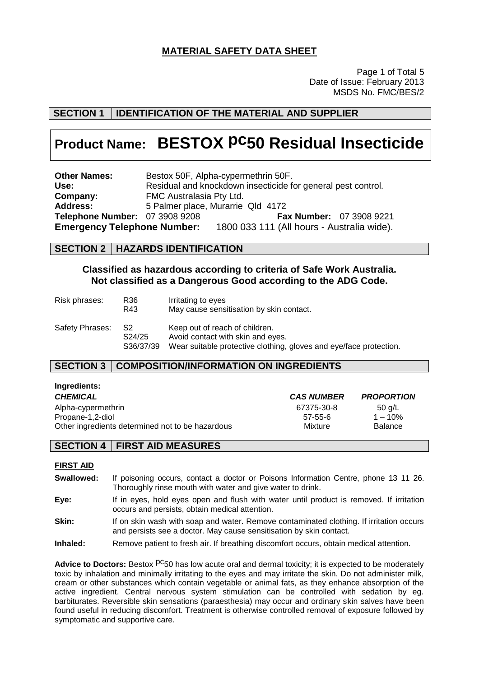# **MATERIAL SAFETY DATA SHEET**

Page 1 of Total 5 Date of Issue: February 2013 MSDS No. FMC/BES/2

# **SECTION 1 IDENTIFICATION OF THE MATERIAL AND SUPPLIER**

# **Product Name: BESTOX pc50 Residual Insecticide**

**Other Names:** Bestox 50F, Alpha-cypermethrin 50F. **Use:** Residual and knockdown insecticide for general pest control. **Company:** FMC Australasia Pty Ltd.<br>**Address:** 5 Palmer place. Murarrie **Address:** 5 Palmer place, Murarrie Qld 4172 **Telephone Number:** 07 3908 9208 **Fax Number:** 07 3908 9221 **Emergency Telephone Number:** 1800 033 111 (All hours - Australia wide).

### **SECTION 2 HAZARDS IDENTIFICATION**

### **Classified as hazardous according to criteria of Safe Work Australia. Not classified as a Dangerous Good according to the ADG Code.**

| Risk phrases:   | R36<br>R43                  | Irritating to eyes<br>May cause sensitisation by skin contact.                                                                            |
|-----------------|-----------------------------|-------------------------------------------------------------------------------------------------------------------------------------------|
| Safety Phrases: | - S2<br>S24/25<br>S36/37/39 | Keep out of reach of children.<br>Avoid contact with skin and eyes.<br>Wear suitable protective clothing, gloves and eye/face protection. |

## **SECTION 3 COMPOSITION/INFORMATION ON INGREDIENTS**

| <u>myrvaivinoi</u>                               |                   |                   |
|--------------------------------------------------|-------------------|-------------------|
| <b>CHEMICAL</b>                                  | <b>CAS NUMBER</b> | <b>PROPORTION</b> |
| Alpha-cypermethrin                               | 67375-30-8        | 50 g/L            |
| Propane-1,2-diol                                 | 57-55-6           | $1 - 10%$         |
| Other ingredients determined not to be hazardous | Mixture           | <b>Balance</b>    |

# **SECTION 4 FIRST AID MEASURES**

#### **FIRST AID**

**Ingredients:**

- **Swallowed:** If poisoning occurs, contact a doctor or Poisons Information Centre, phone 13 11 26. Thoroughly rinse mouth with water and give water to drink.
- **Eye:** If in eyes, hold eyes open and flush with water until product is removed. If irritation occurs and persists, obtain medical attention.

#### **Skin:** If on skin wash with soap and water. Remove contaminated clothing. If irritation occurs and persists see a doctor. May cause sensitisation by skin contact.

#### **Inhaled:** Remove patient to fresh air. If breathing discomfort occurs, obtain medical attention.

**Advice to Doctors:** Bestox <sup>pc</sup>50 has low acute oral and dermal toxicity; it is expected to be moderately toxic by inhalation and minimally irritating to the eyes and may irritate the skin. Do not administer milk, cream or other substances which contain vegetable or animal fats, as they enhance absorption of the active ingredient. Central nervous system stimulation can be controlled with sedation by eg. barbiturates. Reversible skin sensations (paraesthesia) may occur and ordinary skin salves have been found useful in reducing discomfort. Treatment is otherwise controlled removal of exposure followed by symptomatic and supportive care.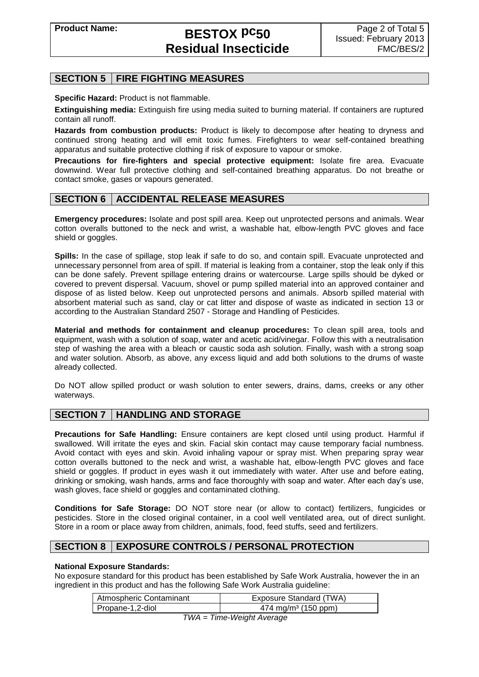# **SECTION 5 FIRE FIGHTING MEASURES**

**Specific Hazard:** Product is not flammable.

**Extinguishing media:** Extinguish fire using media suited to burning material. If containers are ruptured contain all runoff.

**Hazards from combustion products:** Product is likely to decompose after heating to dryness and continued strong heating and will emit toxic fumes. Firefighters to wear self-contained breathing apparatus and suitable protective clothing if risk of exposure to vapour or smoke.

**Precautions for fire-fighters and special protective equipment:** Isolate fire area. Evacuate downwind. Wear full protective clothing and self-contained breathing apparatus. Do not breathe or contact smoke, gases or vapours generated.

### **SECTION 6 ACCIDENTAL RELEASE MEASURES**

**Emergency procedures:** Isolate and post spill area. Keep out unprotected persons and animals. Wear cotton overalls buttoned to the neck and wrist, a washable hat, elbow-length PVC gloves and face shield or goggles.

**Spills:** In the case of spillage, stop leak if safe to do so, and contain spill. Evacuate unprotected and unnecessary personnel from area of spill. If material is leaking from a container, stop the leak only if this can be done safely. Prevent spillage entering drains or watercourse. Large spills should be dyked or covered to prevent dispersal. Vacuum, shovel or pump spilled material into an approved container and dispose of as listed below. Keep out unprotected persons and animals. Absorb spilled material with absorbent material such as sand, clay or cat litter and dispose of waste as indicated in section 13 or according to the Australian Standard 2507 - Storage and Handling of Pesticides.

**Material and methods for containment and cleanup procedures:** To clean spill area, tools and equipment, wash with a solution of soap, water and acetic acid/vinegar. Follow this with a neutralisation step of washing the area with a bleach or caustic soda ash solution. Finally, wash with a strong soap and water solution. Absorb, as above, any excess liquid and add both solutions to the drums of waste already collected.

Do NOT allow spilled product or wash solution to enter sewers, drains, dams, creeks or any other waterways.

# **SECTION 7 HANDLING AND STORAGE**

**Precautions for Safe Handling:** Ensure containers are kept closed until using product. Harmful if swallowed. Will irritate the eyes and skin. Facial skin contact may cause temporary facial numbness. Avoid contact with eyes and skin. Avoid inhaling vapour or spray mist. When preparing spray wear cotton overalls buttoned to the neck and wrist, a washable hat, elbow-length PVC gloves and face shield or goggles. If product in eyes wash it out immediately with water. After use and before eating, drinking or smoking, wash hands, arms and face thoroughly with soap and water. After each day's use, wash gloves, face shield or goggles and contaminated clothing.

**Conditions for Safe Storage:** DO NOT store near (or allow to contact) fertilizers, fungicides or pesticides. Store in the closed original container, in a cool well ventilated area, out of direct sunlight. Store in a room or place away from children, animals, food, feed stuffs, seed and fertilizers.

# **SECTION 8 EXPOSURE CONTROLS / PERSONAL PROTECTION**

#### **National Exposure Standards:**

No exposure standard for this product has been established by Safe Work Australia, however the in an ingredient in this product and has the following Safe Work Australia guideline:

| Atmospheric Contaminant | Exposure Standard (TWA)         |
|-------------------------|---------------------------------|
| Propane-1,2-diol        | 474 mg/m <sup>3</sup> (150 ppm) |
| T1111                   | Time Ulainbi Avenue             |

*TWA = Time-Weight Average*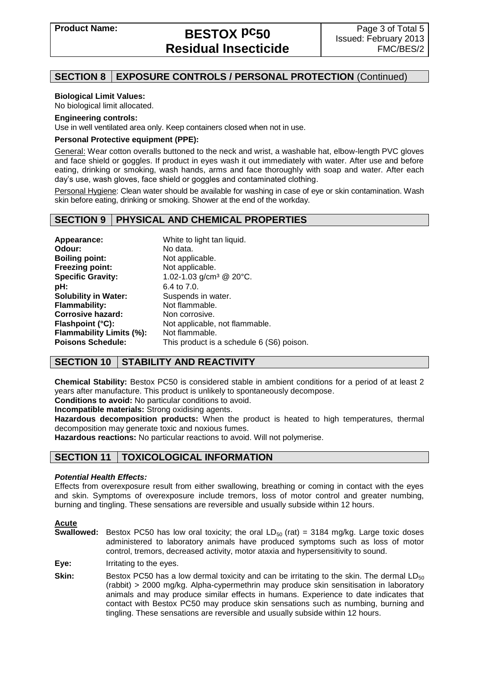# **SECTION 8 EXPOSURE CONTROLS / PERSONAL PROTECTION** (Continued)

#### **Biological Limit Values:**

No biological limit allocated.

#### **Engineering controls:**

Use in well ventilated area only. Keep containers closed when not in use.

#### **Personal Protective equipment (PPE):**

General: Wear cotton overalls buttoned to the neck and wrist, a washable hat, elbow-length PVC gloves and face shield or goggles. If product in eyes wash it out immediately with water. After use and before eating, drinking or smoking, wash hands, arms and face thoroughly with soap and water. After each day's use, wash gloves, face shield or goggles and contaminated clothing.

Personal Hygiene: Clean water should be available for washing in case of eye or skin contamination. Wash skin before eating, drinking or smoking. Shower at the end of the workday.

### **SECTION 9 PHYSICAL AND CHEMICAL PROPERTIES**

| Appearance:                 | White to light tan liquid.                |
|-----------------------------|-------------------------------------------|
| Odour:                      | No data.                                  |
| <b>Boiling point:</b>       | Not applicable.                           |
| <b>Freezing point:</b>      | Not applicable.                           |
| <b>Specific Gravity:</b>    | 1.02-1.03 $g/cm^3$ @ 20°C.                |
| pH:                         | 6.4 to 7.0.                               |
| <b>Solubility in Water:</b> | Suspends in water.                        |
| <b>Flammability:</b>        | Not flammable.                            |
| <b>Corrosive hazard:</b>    | Non corrosive.                            |
| Flashpoint (°C):            | Not applicable, not flammable.            |
| Flammability Limits (%):    | Not flammable.                            |
| <b>Poisons Schedule:</b>    | This product is a schedule 6 (S6) poison. |

# **SECTION 10 STABILITY AND REACTIVITY**

**Chemical Stability:** Bestox PC50 is considered stable in ambient conditions for a period of at least 2 years after manufacture. This product is unlikely to spontaneously decompose.

**Conditions to avoid:** No particular conditions to avoid.

**Incompatible materials:** Strong oxidising agents.

**Hazardous decomposition products:** When the product is heated to high temperatures, thermal decomposition may generate toxic and noxious fumes.

**Hazardous reactions:** No particular reactions to avoid. Will not polymerise.

# **SECTION 11 TOXICOLOGICAL INFORMATION**

#### *Potential Health Effects:*

Effects from overexposure result from either swallowing, breathing or coming in contact with the eyes and skin. Symptoms of overexposure include tremors, loss of motor control and greater numbing, burning and tingling. These sensations are reversible and usually subside within 12 hours.

#### **Acute**

- **Swallowed:** Bestox PC50 has low oral toxicity; the oral  $LD_{50}$  (rat) = 3184 mg/kg. Large toxic doses administered to laboratory animals have produced symptoms such as loss of motor control, tremors, decreased activity, motor ataxia and hypersensitivity to sound.
- **Eye:** Irritating to the eyes.
- **Skin:** Bestox PC50 has a low dermal toxicity and can be irritating to the skin. The dermal LD<sub>50</sub> (rabbit) > 2000 mg/kg. Alpha-cypermethrin may produce skin sensitisation in laboratory animals and may produce similar effects in humans. Experience to date indicates that contact with Bestox PC50 may produce skin sensations such as numbing, burning and tingling. These sensations are reversible and usually subside within 12 hours.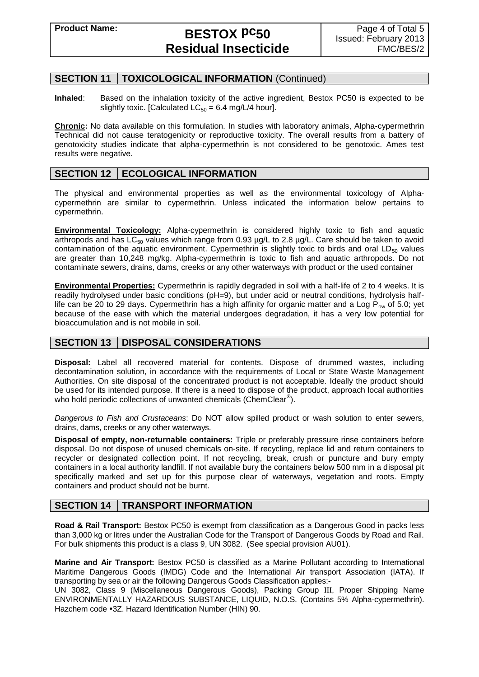# **Product Name: BESTOX pc50 Residual Insecticide**

### **SECTION 11 TOXICOLOGICAL INFORMATION** (Continued)

**Inhaled**: Based on the inhalation toxicity of the active ingredient, Bestox PC50 is expected to be slightly toxic. [Calculated  $LC_{50} = 6.4$  mg/L/4 hour].

**Chronic:** No data available on this formulation. In studies with laboratory animals, Alpha-cypermethrin Technical did not cause teratogenicity or reproductive toxicity. The overall results from a battery of genotoxicity studies indicate that alpha-cypermethrin is not considered to be genotoxic. Ames test results were negative.

### **SECTION 12 | ECOLOGICAL INFORMATION**

The physical and environmental properties as well as the environmental toxicology of Alphacypermethrin are similar to cypermethrin. Unless indicated the information below pertains to cypermethrin.

**Environmental Toxicology:** Alpha-cypermethrin is considered highly toxic to fish and aquatic arthropods and has  $LC_{50}$  values which range from 0.93  $\mu$ g/L to 2.8  $\mu$ g/L. Care should be taken to avoid contamination of the aquatic environment. Cypermethrin is slightly toxic to birds and oral LD<sub>50</sub> values are greater than 10,248 mg/kg. Alpha-cypermethrin is toxic to fish and aquatic arthropods. Do not contaminate sewers, drains, dams, creeks or any other waterways with product or the used container

**Environmental Properties:** Cypermethrin is rapidly degraded in soil with a half-life of 2 to 4 weeks. It is readily hydrolysed under basic conditions (pH=9), but under acid or neutral conditions, hydrolysis halflife can be 20 to 29 days. Cypermethrin has a high affinity for organic matter and a Log  $P_{ow}$  of 5.0; yet because of the ease with which the material undergoes degradation, it has a very low potential for bioaccumulation and is not mobile in soil.

### **SECTION 13 DISPOSAL CONSIDERATIONS**

**Disposal:** Label all recovered material for contents. Dispose of drummed wastes, including decontamination solution, in accordance with the requirements of Local or State Waste Management Authorities. On site disposal of the concentrated product is not acceptable. Ideally the product should be used for its intended purpose. If there is a need to dispose of the product, approach local authorities who hold periodic collections of unwanted chemicals (ChemClear®).

*Dangerous to Fish and Crustaceans*: Do NOT allow spilled product or wash solution to enter sewers, drains, dams, creeks or any other waterways.

**Disposal of empty, non-returnable containers:** Triple or preferably pressure rinse containers before disposal. Do not dispose of unused chemicals on-site. If recycling, replace lid and return containers to recycler or designated collection point. If not recycling, break, crush or puncture and bury empty containers in a local authority landfill. If not available bury the containers below 500 mm in a disposal pit specifically marked and set up for this purpose clear of waterways, vegetation and roots. Empty containers and product should not be burnt.

### **SECTION 14 TRANSPORT INFORMATION**

**Road & Rail Transport:** Bestox PC50 is exempt from classification as a Dangerous Good in packs less than 3,000 kg or litres under the Australian Code for the Transport of Dangerous Goods by Road and Rail. For bulk shipments this product is a class 9, UN 3082. (See special provision AU01).

**Marine and Air Transport:** Bestox PC50 is classified as a Marine Pollutant according to International Maritime Dangerous Goods (IMDG) Code and the International Air transport Association (IATA). If transporting by sea or air the following Dangerous Goods Classification applies:-

UN 3082, Class 9 (Miscellaneous Dangerous Goods), Packing Group III, Proper Shipping Name ENVIRONMENTALLY HAZARDOUS SUBSTANCE, LIQUID, N.O.S. (Contains 5% Alpha-cypermethrin). Hazchem code •3Z. Hazard Identification Number (HIN) 90.